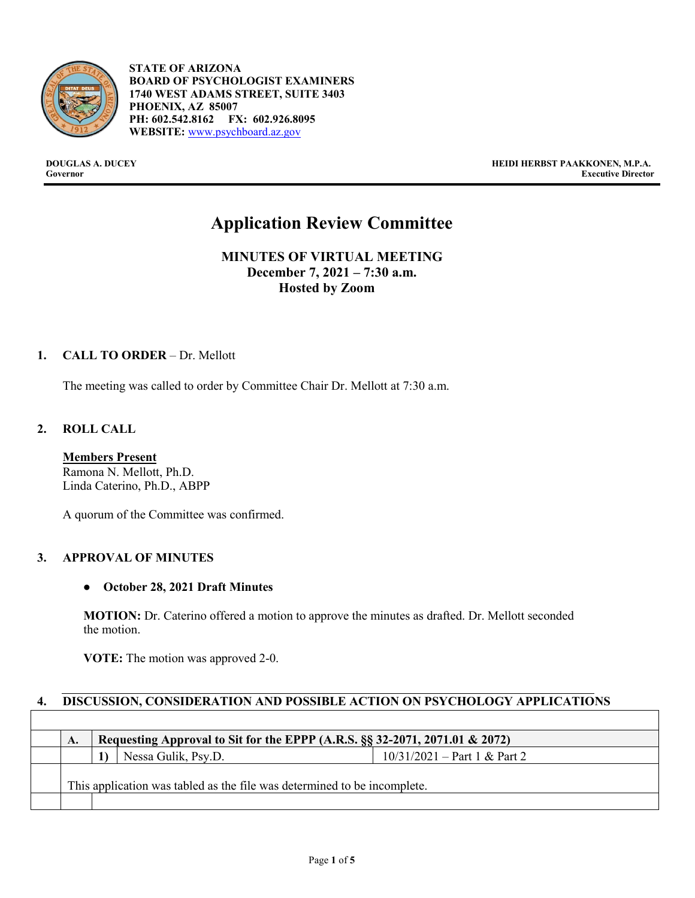

- **STATE OF ARIZONA BOARD OF PSYCHOLOGIST EXAMINERS 1740 WEST ADAMS STREET, SUITE 3403 PHOENIX, AZ 85007 PH: 602.542.8162 FX: 602.926.8095 WEBSITE:** [www.psychboard.az.gov](http://www.psychboard.az.gov/)

**DOUGLAS A. DUCEY HEIDI HERBST PAAKKONEN, M.P.A. Executive Director** 

# **Application Review Committee**

**MINUTES OF VIRTUAL MEETING December 7, 2021 – 7:30 a.m. Hosted by Zoom**

## **1. CALL TO ORDER** – Dr. Mellott

The meeting was called to order by Committee Chair Dr. Mellott at 7:30 a.m.

## **2. ROLL CALL**

**Members Present** Ramona N. Mellott, Ph.D. Linda Caterino, Ph.D., ABPP

A quorum of the Committee was confirmed.

#### **3. APPROVAL OF MINUTES**

#### ● **October 28, 2021 Draft Minutes**

**MOTION:** Dr. Caterino offered a motion to approve the minutes as drafted. Dr. Mellott seconded the motion.

**VOTE:** The motion was approved 2-0.

# **4. DISCUSSION, CONSIDERATION AND POSSIBLE ACTION ON PSYCHOLOGY APPLICATIONS**

| Nessa Gulik, Psy.D.                                                      | $10/31/2021 - Part 1 & Part 2$ |  |
|--------------------------------------------------------------------------|--------------------------------|--|
|                                                                          |                                |  |
| This application was tabled as the file was determined to be incomplete. |                                |  |
|                                                                          |                                |  |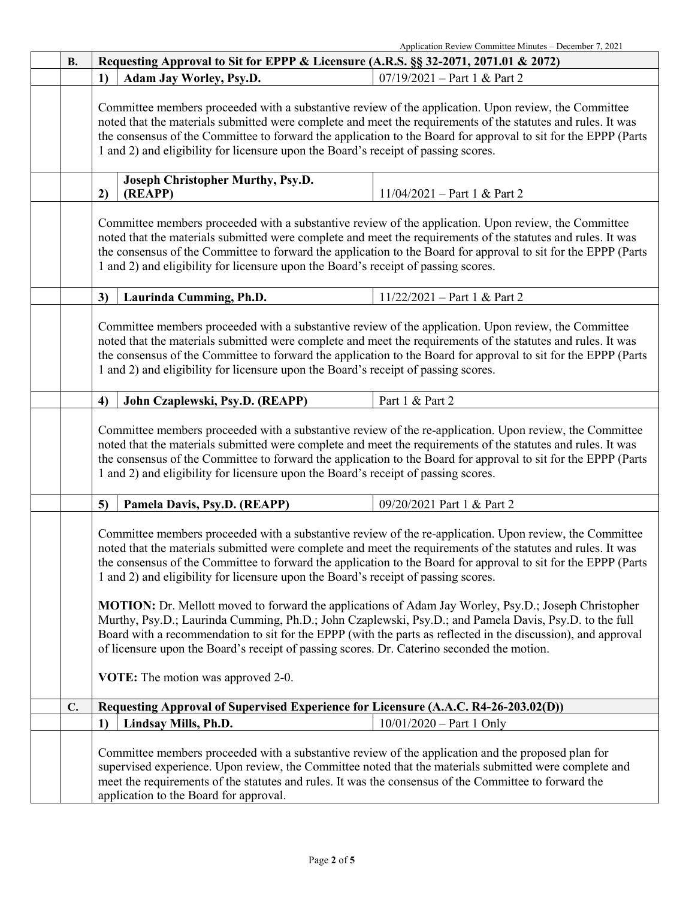|    | Application Review Committee Minutes - December 7, 2021                                                                                                                                                                                                                                                                                                                                                                              |                                |  |
|----|--------------------------------------------------------------------------------------------------------------------------------------------------------------------------------------------------------------------------------------------------------------------------------------------------------------------------------------------------------------------------------------------------------------------------------------|--------------------------------|--|
| В. | Requesting Approval to Sit for EPPP & Licensure (A.R.S. §§ 32-2071, 2071.01 & 2072)                                                                                                                                                                                                                                                                                                                                                  |                                |  |
|    | 1)<br>Adam Jay Worley, Psy.D.                                                                                                                                                                                                                                                                                                                                                                                                        | $07/19/2021 - Part 1 & Part 2$ |  |
|    | Committee members proceeded with a substantive review of the application. Upon review, the Committee<br>noted that the materials submitted were complete and meet the requirements of the statutes and rules. It was<br>the consensus of the Committee to forward the application to the Board for approval to sit for the EPPP (Parts<br>1 and 2) and eligibility for licensure upon the Board's receipt of passing scores.         |                                |  |
|    | <b>Joseph Christopher Murthy, Psy.D.</b><br>(REAPP)<br>2)                                                                                                                                                                                                                                                                                                                                                                            | $11/04/2021$ – Part 1 & Part 2 |  |
|    | Committee members proceeded with a substantive review of the application. Upon review, the Committee<br>noted that the materials submitted were complete and meet the requirements of the statutes and rules. It was<br>the consensus of the Committee to forward the application to the Board for approval to sit for the EPPP (Parts<br>1 and 2) and eligibility for licensure upon the Board's receipt of passing scores.         |                                |  |
|    | Laurinda Cumming, Ph.D.<br>3)                                                                                                                                                                                                                                                                                                                                                                                                        | $11/22/2021$ – Part 1 & Part 2 |  |
|    | Committee members proceeded with a substantive review of the application. Upon review, the Committee<br>noted that the materials submitted were complete and meet the requirements of the statutes and rules. It was<br>the consensus of the Committee to forward the application to the Board for approval to sit for the EPPP (Parts<br>1 and 2) and eligibility for licensure upon the Board's receipt of passing scores.         |                                |  |
|    | 4)<br>John Czaplewski, Psy.D. (REAPP)                                                                                                                                                                                                                                                                                                                                                                                                | Part 1 & Part 2                |  |
|    | Committee members proceeded with a substantive review of the re-application. Upon review, the Committee<br>noted that the materials submitted were complete and meet the requirements of the statutes and rules. It was<br>the consensus of the Committee to forward the application to the Board for approval to sit for the EPPP (Parts<br>1 and 2) and eligibility for licensure upon the Board's receipt of passing scores.      |                                |  |
|    | Pamela Davis, Psy.D. (REAPP)<br>5)                                                                                                                                                                                                                                                                                                                                                                                                   | 09/20/2021 Part 1 & Part 2     |  |
|    | Committee members proceeded with a substantive review of the re-application. Upon review, the Committee<br>noted that the materials submitted were complete and meet the requirements of the statutes and rules. It was<br>the consensus of the Committee to forward the application to the Board for approval to sit for the EPPP (Parts<br>1 and 2) and eligibility for licensure upon the Board's receipt of passing scores.      |                                |  |
|    | <b>MOTION:</b> Dr. Mellott moved to forward the applications of Adam Jay Worley, Psy.D.; Joseph Christopher<br>Murthy, Psy.D.; Laurinda Cumming, Ph.D.; John Czaplewski, Psy.D.; and Pamela Davis, Psy.D. to the full<br>Board with a recommendation to sit for the EPPP (with the parts as reflected in the discussion), and approval<br>of licensure upon the Board's receipt of passing scores. Dr. Caterino seconded the motion. |                                |  |
|    | <b>VOTE:</b> The motion was approved 2-0.                                                                                                                                                                                                                                                                                                                                                                                            |                                |  |
| C. | Requesting Approval of Supervised Experience for Licensure (A.A.C. R4-26-203.02(D))                                                                                                                                                                                                                                                                                                                                                  |                                |  |
|    | 1)<br>Lindsay Mills, Ph.D.                                                                                                                                                                                                                                                                                                                                                                                                           | $10/01/2020 - Part 1$ Only     |  |
|    | Committee members proceeded with a substantive review of the application and the proposed plan for<br>supervised experience. Upon review, the Committee noted that the materials submitted were complete and<br>meet the requirements of the statutes and rules. It was the consensus of the Committee to forward the<br>application to the Board for approval.                                                                      |                                |  |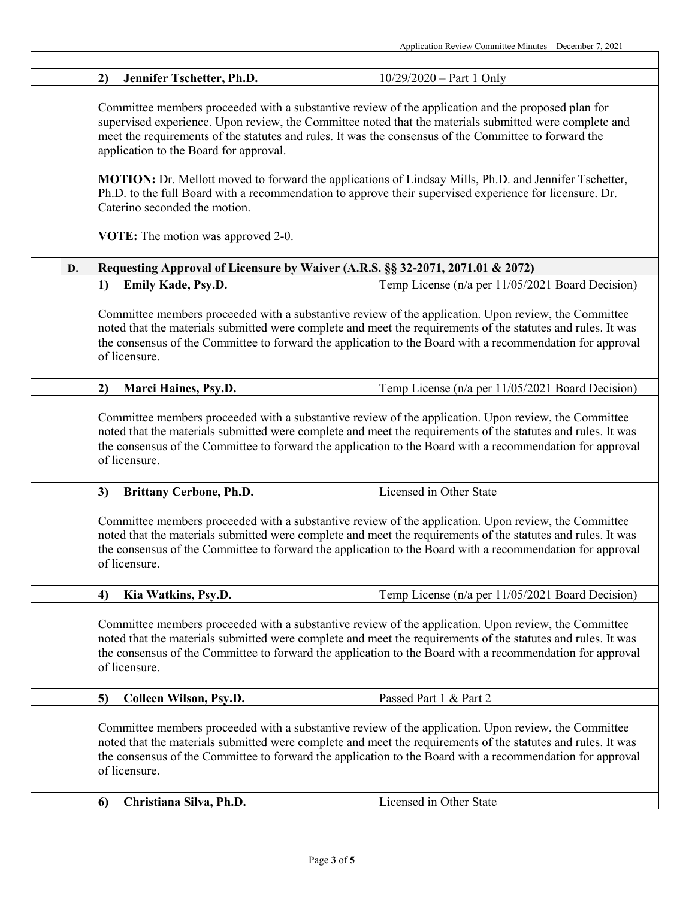| 2) | Jennifer Tschetter, Ph.D.                                                                                                                                                                                                                                                                                                                                       | $10/29/2020 - Part 1 Only$                                                                                                                                                                                                                                                                                                        |  |
|----|-----------------------------------------------------------------------------------------------------------------------------------------------------------------------------------------------------------------------------------------------------------------------------------------------------------------------------------------------------------------|-----------------------------------------------------------------------------------------------------------------------------------------------------------------------------------------------------------------------------------------------------------------------------------------------------------------------------------|--|
|    | Committee members proceeded with a substantive review of the application and the proposed plan for<br>supervised experience. Upon review, the Committee noted that the materials submitted were complete and<br>meet the requirements of the statutes and rules. It was the consensus of the Committee to forward the<br>application to the Board for approval. |                                                                                                                                                                                                                                                                                                                                   |  |
|    | Ph.D. to the full Board with a recommendation to approve their supervised experience for licensure. Dr.<br>Caterino seconded the motion.                                                                                                                                                                                                                        | <b>MOTION:</b> Dr. Mellott moved to forward the applications of Lindsay Mills, Ph.D. and Jennifer Tschetter,                                                                                                                                                                                                                      |  |
|    | VOTE: The motion was approved 2-0.                                                                                                                                                                                                                                                                                                                              |                                                                                                                                                                                                                                                                                                                                   |  |
| D. | Requesting Approval of Licensure by Waiver (A.R.S. §§ 32-2071, 2071.01 & 2072)                                                                                                                                                                                                                                                                                  |                                                                                                                                                                                                                                                                                                                                   |  |
| 1) | Emily Kade, Psy.D.                                                                                                                                                                                                                                                                                                                                              | Temp License (n/a per 11/05/2021 Board Decision)                                                                                                                                                                                                                                                                                  |  |
|    | Committee members proceeded with a substantive review of the application. Upon review, the Committee<br>noted that the materials submitted were complete and meet the requirements of the statutes and rules. It was<br>the consensus of the Committee to forward the application to the Board with a recommendation for approval<br>of licensure.              |                                                                                                                                                                                                                                                                                                                                   |  |
| 2) | Marci Haines, Psy.D.                                                                                                                                                                                                                                                                                                                                            | Temp License (n/a per 11/05/2021 Board Decision)                                                                                                                                                                                                                                                                                  |  |
|    | of licensure.                                                                                                                                                                                                                                                                                                                                                   | noted that the materials submitted were complete and meet the requirements of the statutes and rules. It was<br>the consensus of the Committee to forward the application to the Board with a recommendation for approval                                                                                                         |  |
| 3) | <b>Brittany Cerbone, Ph.D.</b>                                                                                                                                                                                                                                                                                                                                  | Licensed in Other State                                                                                                                                                                                                                                                                                                           |  |
|    | of licensure.                                                                                                                                                                                                                                                                                                                                                   | Committee members proceeded with a substantive review of the application. Upon review, the Committee<br>noted that the materials submitted were complete and meet the requirements of the statutes and rules. It was<br>the consensus of the Committee to forward the application to the Board with a recommendation for approval |  |
| 4) | Kia Watkins, Psy.D.                                                                                                                                                                                                                                                                                                                                             | Temp License (n/a per 11/05/2021 Board Decision)                                                                                                                                                                                                                                                                                  |  |
|    | Committee members proceeded with a substantive review of the application. Upon review, the Committee<br>noted that the materials submitted were complete and meet the requirements of the statutes and rules. It was<br>the consensus of the Committee to forward the application to the Board with a recommendation for approval<br>of licensure.              |                                                                                                                                                                                                                                                                                                                                   |  |
| 5) | Colleen Wilson, Psy.D.                                                                                                                                                                                                                                                                                                                                          | Passed Part 1 & Part 2                                                                                                                                                                                                                                                                                                            |  |
|    | Committee members proceeded with a substantive review of the application. Upon review, the Committee<br>noted that the materials submitted were complete and meet the requirements of the statutes and rules. It was<br>the consensus of the Committee to forward the application to the Board with a recommendation for approval<br>of licensure.              |                                                                                                                                                                                                                                                                                                                                   |  |
| 6  | Christiana Silva, Ph.D.                                                                                                                                                                                                                                                                                                                                         | Licensed in Other State                                                                                                                                                                                                                                                                                                           |  |
|    |                                                                                                                                                                                                                                                                                                                                                                 |                                                                                                                                                                                                                                                                                                                                   |  |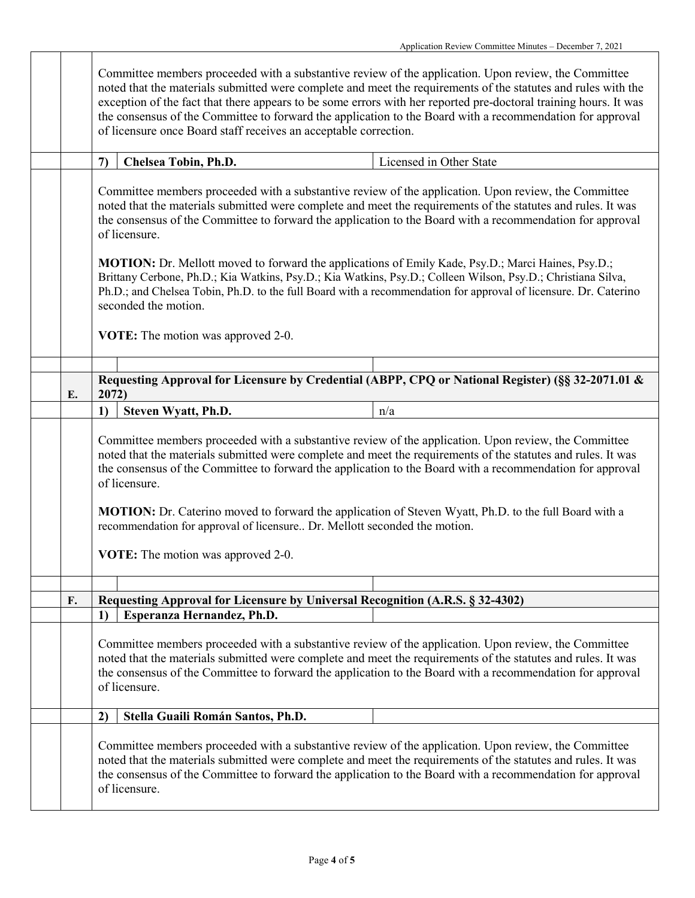|    | Committee members proceeded with a substantive review of the application. Upon review, the Committee<br>noted that the materials submitted were complete and meet the requirements of the statutes and rules with the<br>exception of the fact that there appears to be some errors with her reported pre-doctoral training hours. It was<br>the consensus of the Committee to forward the application to the Board with a recommendation for approval<br>of licensure once Board staff receives an acceptable correction. |                                                                                                                                                                                                                                                                                                                                                    |  |  |
|----|----------------------------------------------------------------------------------------------------------------------------------------------------------------------------------------------------------------------------------------------------------------------------------------------------------------------------------------------------------------------------------------------------------------------------------------------------------------------------------------------------------------------------|----------------------------------------------------------------------------------------------------------------------------------------------------------------------------------------------------------------------------------------------------------------------------------------------------------------------------------------------------|--|--|
|    | $\mathcal{L}$                                                                                                                                                                                                                                                                                                                                                                                                                                                                                                              | Licensed in Other State<br>Chelsea Tobin, Ph.D.                                                                                                                                                                                                                                                                                                    |  |  |
|    |                                                                                                                                                                                                                                                                                                                                                                                                                                                                                                                            | Committee members proceeded with a substantive review of the application. Upon review, the Committee<br>noted that the materials submitted were complete and meet the requirements of the statutes and rules. It was<br>the consensus of the Committee to forward the application to the Board with a recommendation for approval<br>of licensure. |  |  |
|    | MOTION: Dr. Mellott moved to forward the applications of Emily Kade, Psy.D.; Marci Haines, Psy.D.;<br>Brittany Cerbone, Ph.D.; Kia Watkins, Psy.D.; Kia Watkins, Psy.D.; Colleen Wilson, Psy.D.; Christiana Silva,<br>Ph.D.; and Chelsea Tobin, Ph.D. to the full Board with a recommendation for approval of licensure. Dr. Caterino<br>seconded the motion.                                                                                                                                                              |                                                                                                                                                                                                                                                                                                                                                    |  |  |
|    |                                                                                                                                                                                                                                                                                                                                                                                                                                                                                                                            | VOTE: The motion was approved 2-0.                                                                                                                                                                                                                                                                                                                 |  |  |
|    |                                                                                                                                                                                                                                                                                                                                                                                                                                                                                                                            |                                                                                                                                                                                                                                                                                                                                                    |  |  |
| E. |                                                                                                                                                                                                                                                                                                                                                                                                                                                                                                                            | Requesting Approval for Licensure by Credential (ABPP, CPQ or National Register) (§§ 32-2071.01 &<br>2072)                                                                                                                                                                                                                                         |  |  |
|    | 1)                                                                                                                                                                                                                                                                                                                                                                                                                                                                                                                         | Steven Wyatt, Ph.D.<br>n/a                                                                                                                                                                                                                                                                                                                         |  |  |
|    |                                                                                                                                                                                                                                                                                                                                                                                                                                                                                                                            | Committee members proceeded with a substantive review of the application. Upon review, the Committee<br>noted that the materials submitted were complete and meet the requirements of the statutes and rules. It was<br>the consensus of the Committee to forward the application to the Board with a recommendation for approval<br>of licensure. |  |  |
|    |                                                                                                                                                                                                                                                                                                                                                                                                                                                                                                                            | <b>MOTION:</b> Dr. Caterino moved to forward the application of Steven Wyatt, Ph.D. to the full Board with a<br>recommendation for approval of licensure Dr. Mellott seconded the motion.                                                                                                                                                          |  |  |
|    |                                                                                                                                                                                                                                                                                                                                                                                                                                                                                                                            | <b>VOTE:</b> The motion was approved 2-0.                                                                                                                                                                                                                                                                                                          |  |  |
|    |                                                                                                                                                                                                                                                                                                                                                                                                                                                                                                                            |                                                                                                                                                                                                                                                                                                                                                    |  |  |
| F. | 1)                                                                                                                                                                                                                                                                                                                                                                                                                                                                                                                         | Requesting Approval for Licensure by Universal Recognition (A.R.S. § 32-4302)<br>Esperanza Hernandez, Ph.D.                                                                                                                                                                                                                                        |  |  |
|    |                                                                                                                                                                                                                                                                                                                                                                                                                                                                                                                            | Committee members proceeded with a substantive review of the application. Upon review, the Committee<br>noted that the materials submitted were complete and meet the requirements of the statutes and rules. It was<br>the consensus of the Committee to forward the application to the Board with a recommendation for approval<br>of licensure. |  |  |
|    | 2)                                                                                                                                                                                                                                                                                                                                                                                                                                                                                                                         | Stella Guaili Román Santos, Ph.D.                                                                                                                                                                                                                                                                                                                  |  |  |
|    | Committee members proceeded with a substantive review of the application. Upon review, the Committee<br>noted that the materials submitted were complete and meet the requirements of the statutes and rules. It was<br>the consensus of the Committee to forward the application to the Board with a recommendation for approval<br>of licensure.                                                                                                                                                                         |                                                                                                                                                                                                                                                                                                                                                    |  |  |

Г

Т

ı